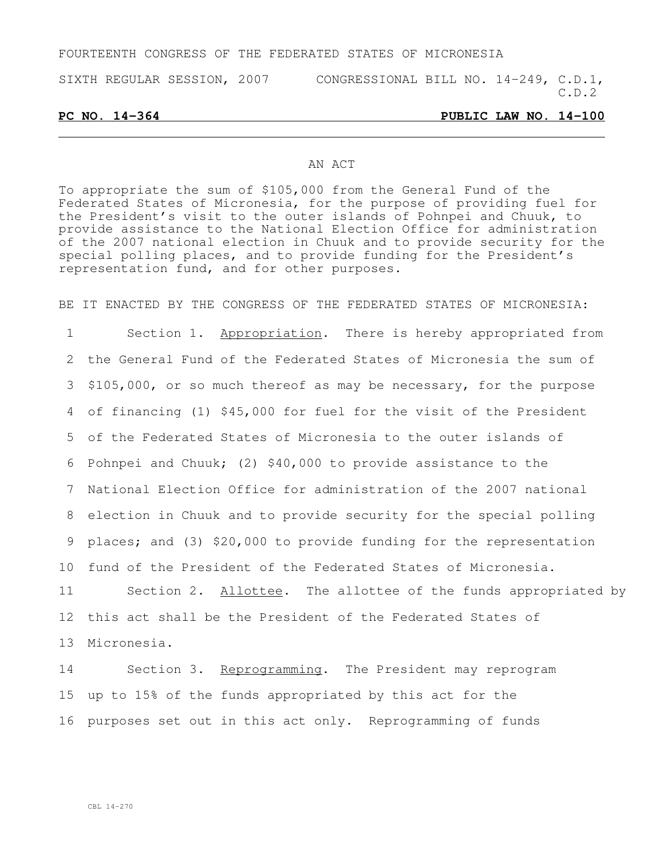## FOURTEENTH CONGRESS OF THE FEDERATED STATES OF MICRONESIA

SIXTH REGULAR SESSION, 2007 CONGRESSIONAL BILL NO. 14-249, C.D.1,  $C.D.2$ 

### **PC NO. 14-364 PUBLIC LAW NO. 14-100**

### AN ACT

To appropriate the sum of \$105,000 from the General Fund of the Federated States of Micronesia, for the purpose of providing fuel for the President's visit to the outer islands of Pohnpei and Chuuk, to provide assistance to the National Election Office for administration of the 2007 national election in Chuuk and to provide security for the special polling places, and to provide funding for the President's representation fund, and for other purposes.

BE IT ENACTED BY THE CONGRESS OF THE FEDERATED STATES OF MICRONESIA:

 Section 1. Appropriation. There is hereby appropriated from the General Fund of the Federated States of Micronesia the sum of \$105,000, or so much thereof as may be necessary, for the purpose of financing (1) \$45,000 for fuel for the visit of the President of the Federated States of Micronesia to the outer islands of Pohnpei and Chuuk; (2) \$40,000 to provide assistance to the National Election Office for administration of the 2007 national election in Chuuk and to provide security for the special polling places; and (3) \$20,000 to provide funding for the representation fund of the President of the Federated States of Micronesia. 11 Section 2. Allottee. The allottee of the funds appropriated by this act shall be the President of the Federated States of Micronesia.

14 Section 3. Reprogramming. The President may reprogram 15 up to 15% of the funds appropriated by this act for the 16 purposes set out in this act only. Reprogramming of funds